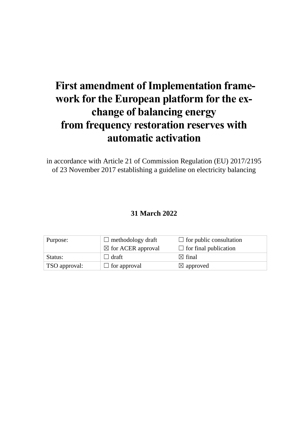# **First amendment of Implementation framework for the European platform for the exchange of balancing energy from frequency restoration reserves with automatic activation**

in accordance with Article 21 of Commission Regulation (EU) 2017/2195 of 23 November 2017 establishing a guideline on electricity balancing

# **31 March 2022**

| Purpose:      | $\Box$ methodology draft      | $\Box$ for public consultation |
|---------------|-------------------------------|--------------------------------|
|               | $\boxtimes$ for ACER approval | $\Box$ for final publication   |
| Status:       | ⊿ draft ∣                     | $\boxtimes$ final              |
| TSO approval: | $\Box$ for approval           | $\boxtimes$ approved           |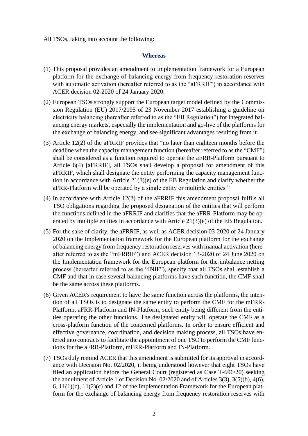All TSOs, taking into account the following:

#### **Whereas**

- (1) This proposal provides an amendment to Implementation framework for a European platform for the exchange of balancing energy from frequency restoration reserves with automatic activation (hereafter referred to as the "aFRRIF") in accordance with ACER decision 02-2020 of 24 January 2020.
- (2) European TSOs strongly support the European target model defined by the Commission Regulation (EU) 2017/2195 of 23 November 2017 establishing a guideline on electricity balancing (hereafter referred to as the "EB Regulation") for integrated balancing energy markets, especially the implementation and go-live of the platforms for the exchange of balancing energy, and see significant advantages resulting from it.
- (3) Article 12(2) of the aFRRIF provides that "no later than eighteen months before the deadline when the capacity management function (hereafter referred to as the "CMF") shall be considered as a function required to operate the aFRR-Platform pursuant to Article 6(4) [aFRRIF], all TSOs shall develop a proposal for amendment of this aFRRIF, which shall designate the entity performing the capacity management function in accordance with Article 21(3)(e) of the EB Regulation and clarify whether the aFRR-Platform will be operated by a single entity or multiple entities."
- (4) In accordance with Article 12(2) of the aFRRIF this amendment proposal fulfils all TSO obligations regarding the proposed designation of the entities that will perform the functions defined in the aFRRIF and clarifies that the aFRR-Platform may be operated by multiple entities in accordance with Article 21(3)(e) of the EB Regulation.
- (5) For the sake of clarity, the aFRRIF, as well as ACER decision 03-2020 of 24 January 2020 on the Implementation framework for the European platform for the exchange of balancing energy from frequency restoration reserves with manual activation (hereafter referred to as the "mFRRIF") and ACER decision 13-2020 of 24 June 2020 on the Implementation framework for the European platform for the imbalance netting process (hereafter referred to as the "INIF"), specify that all TSOs shall establish a CMF and that in case several balancing platforms have such function, the CMF shall be the same across these platforms.
- (6) Given ACER's requirement to have the same function across the platforms, the intention of all TSOs is to designate the same entity to perform the CMF for the mFRR-Platform, aFRR-Platform and IN-Platform, such entity being different from the entities operating the other functions. The designated entity will operate the CMF as a cross-platform function of the concerned platforms. In order to ensure efficient and effective governance, coordination, and decision making process, all TSOs have entered into contracts to facilitate the appointment of one TSO to perform the CMF functions for the aFRR-Platform, mFRR-Platform and IN-Platform.
- (7) TSOs duly remind ACER that this amendment is submitted for its approval in accordance with Decision No. 02/2020, it being understood however that eight TSOs have filed an application before the General Court (registered as Case T-606/20) seeking the annulment of Article 1 of Decision No. 02/2020 and of Articles 3(3), 3(5)(b), 4(6), 6,  $11(1)(c)$ ,  $11(2)(c)$  and 12 of the Implementation Framework for the European platform for the exchange of balancing energy from frequency restoration reserves with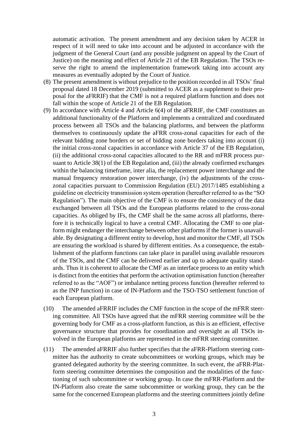automatic activation. The present amendment and any decision taken by ACER in respect of it will need to take into account and be adjusted in accordance with the judgment of the General Court (and any possible judgment on appeal by the Court of Justice) on the meaning and effect of Article 21 of the EB Regulation. The TSOs reserve the right to amend the implementation framework taking into account any measures as eventually adopted by the Court of Justice.

- (8) The present amendment is without prejudice to the position recorded in all TSOs' final proposal dated 18 December 2019 (submitted to ACER as a supplement to their proposal for the aFRRIF) that the CMF is not a required platform function and does not fall within the scope of Article 21 of the EB Regulation.
- (9) In accordance with Article 4 and Article 6(4) of the aFRRIF, the CMF constitutes an additional functionality of the Platform and implements a centralized and coordinated process between all TSOs and the balancing platforms, and between the platforms themselves to continuously update the aFRR cross-zonal capacities for each of the relevant bidding zone borders or set of bidding zone borders taking into account (i) the initial cross-zonal capacities in accordance with Article 37 of the EB Regulation, (ii) the additional cross-zonal capacities allocated to the RR and mFRR process pursuant to Article 38(1) of the EB Regulation and, (iii) the already confirmed exchanges within the balancing timeframe, inter alia, the replacement power interchange and the manual frequency restoration power interchange, (iv) the adjustments of the crosszonal capacities pursuant to Commission Regulation (EU) 2017/1485 establishing a guideline on electricity transmission system operation (hereafter referred to as the "SO Regulation"). The main objective of the CMF is to ensure the consistency of the data exchanged between all TSOs and the European platforms related to the cross-zonal capacities. As obliged by IFs, the CMF shall be the same across all platforms, therefore it is technically logical to have a central CMF. Allocating the CMF to one platform might endanger the interchange between other platforms if the former is unavailable. By designating a different entity to develop, host and monitor the CMF, all TSOs are ensuring the workload is shared by different entities. As a consequence, the establishment of the platform functions can take place in parallel using available resources of the TSOs, and the CMF can be delivered earlier and up to adequate quality standards. Thus it is coherent to allocate the CMF as an interface process to an entity which is distinct from the entities that perform the activation optimisation function (hereafter referred to as the "AOF") or imbalance netting process function (hereafter referred to as the INP function) in case of IN-Platform and the TSO-TSO settlement function of each European platform.
- (10) The amended aFRRIF includes the CMF function in the scope of the mFRR steering committee. All TSOs have agreed that the mFRR steering committee will be the governing body for CMF as a cross-platform function, as this is an efficient, effective governance structure that provides for coordination and oversight as all TSOs involved in the European platforms are represented in the mFRR steering committee.
- (11) The amended aFRRIF also further specifies that the aFRR-Platform steering committee has the authority to create subcommittees or working groups, which may be granted delegated authority by the steering committee. In such event, the aFRR-Platform steering committee determines the composition and the modalities of the functioning of such subcommittee or working group. In case the mFRR-Platform and the IN-Platform also create the same subcommittee or working group, they can be the same for the concerned European platforms and the steering committees jointly define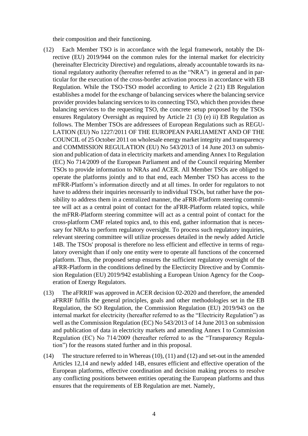their composition and their functioning.

- (12) Each Member TSO is in accordance with the legal framework, notably the Directive (EU) 2019/944 on the common rules for the internal market for electricity (hereinafter Electricity Directive) and regulations, already accountable towards its national regulatory authority (hereafter referred to as the "NRA") in general and in particular for the execution of the cross-border activation process in accordance with EB Regulation. While the TSO-TSO model according to Article 2 (21) EB Regulation establishes a model for the exchange of balancing services where the balancing service provider provides balancing services to its connecting TSO, which then provides these balancing services to the requesting TSO, the concrete setup proposed by the TSOs ensures Regulatory Oversight as required by Article 21 (3) (e) ii) EB Regulation as follows. The Member TSOs are addressees of European Regulations such as REGU-LATION (EU) No 1227/2011 OF THE EUROPEAN PARLIAMENT AND OF THE COUNCIL of 25 October 2011 on wholesale energy market integrity and transparency and COMMISSION REGULATION (EU) No 543/2013 of 14 June 2013 on submission and publication of data in electricity markets and amending Annex I to Regulation (EC) No 714/2009 of the European Parliament and of the Council requiring Member TSOs to provide information to NRAs and ACER. All Member TSOs are obliged to operate the platforms jointly and to that end, each Member TSO has access to the mFRR-Platform's information directly and at all times. In order for regulators to not have to address their inquiries necessarily to individual TSOs, but rather have the possibility to address them in a centralized manner, the aFRR-Platform steering committee will act as a central point of contact for the aFRR-Platform related topics, while the mFRR-Platform steering committee will act as a central point of contact for the cross-platform CMF related topics and, to this end, gather information that is necessary for NRAs to perform regulatory oversight. To process such regulatory inquiries, relevant steering committee will utilize processes detailed in the newly added Article 14B. The TSOs' proposal is therefore no less efficient and effective in terms of regulatory oversight than if only one entity were to operate all functions of the concerned platform. Thus, the proposed setup ensures the sufficient regulatory oversight of the aFRR-Platform in the conditions defined by the Electircity Directive and by Commission Regulation (EU) 2019/942 establishing a European Union Agency for the Cooperation of Energy Regulators.
- (13) The aFRRIF was approved in ACER decision 02-2020 and therefore, the amended aFRRIF fulfils the general principles, goals and other methodologies set in the EB Regulation, the SO Regulation, the Commission Regulation (EU) 2019/943 on the internal market for electricity (hereafter referred to as the "Electricity Regulation") as well as the Commission Regulation (EC) No 543/2013 of 14 June 2013 on submission and publication of data in electricity markets and amending Annex I to Commission Regulation (EC) No 714/2009 (hereafter referred to as the "Transparency Regulation") for the reasons stated further and in this proposal.
- (14) The structure referred to in Whereas (10), (11) and (12) and set-out in the amended Articles 12,14 and newly added 14B, ensures efficient and effective operation of the European platforms, effective coordination and decision making process to resolve any conflicting positions between entities operating the European platforms and thus ensures that the requirements of EB Regulation are met. Namely,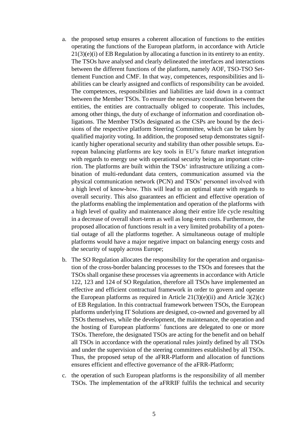- a. the proposed setup ensures a coherent allocation of functions to the entities operating the functions of the European platform, in accordance with Article 21(3)(e)(i) of EB Regulation by allocating a function in its entirety to an entity. The TSOs have analysed and clearly delineated the interfaces and interactions between the different functions of the platform, namely AOF, TSO-TSO Settlement Function and CMF. In that way, competences, responsibilities and liabilities can be clearly assigned and conflicts of responsibility can be avoided. The competences, responsibilities and liabilities are laid down in a contract between the Member TSOs. To ensure the necessary coordination between the entities, the entities are contractually obliged to cooperate. This includes, among other things, the duty of exchange of information and coordination obligations. The Member TSOs designated as the CSPs are bound by the decisions of the respective platform Steering Committee, which can be taken by qualified majority voting. In addition, the proposed setup demonstrates significantly higher operational security and stability than other possible setups. European balancing platforms are key tools in EU's future market integration with regards to energy use with operational security being an important criterion. The platforms are built within the TSOs' infrastructure utilizing a combination of multi-redundant data centers, communication assumed via the physical communication network (PCN) and TSOs' personnel involved with a high level of know-how. This will lead to an optimal state with regards to overall security. This also guarantees an efficient and effective operation of the platforms enabling the implementation and operation of the platforms with a high level of quality and maintenance along their entire life cycle resulting in a decrease of overall short-term as well as long-term costs. Furthermore, the proposed allocation of functions result in a very limited probability of a potential outage of all the platforms together. A simultaneous outage of multiple platforms would have a major negative impact on balancing energy costs and the security of supply across Europe;
- b. The SO Regulation allocates the responsibility for the operation and organisation of the cross-border balancing processes to the TSOs and foresees that the TSOs shall organise these processes via agreements in accordance with Article 122, 123 and 124 of SO Regulation, therefore all TSOs have implemented an effective and efficient contractual framework in order to govern and operate the European platforms as required in Article  $21(3)(e)(ii)$  and Article  $3(2)(c)$ of EB Regulation. In this contractual framework between TSOs, the European platforms underlying IT Solutions are designed, co-owned and governed by all TSOs themselves, while the development, the maintenance, the operation and the hosting of European platforms´ functions are delegated to one or more TSOs. Therefore, the designated TSOs are acting for the benefit and on behalf all TSOs in accordance with the operational rules jointly defined by all TSOs and under the supervision of the steering committees established by all TSOs. Thus, the proposed setup of the aFRR-Platform and allocation of functions ensures efficient and effective governance of the aFRR-Platform;
- c. the operation of such European platforms is the responsibility of all member TSOs. The implementation of the aFRRIF fulfils the technical and security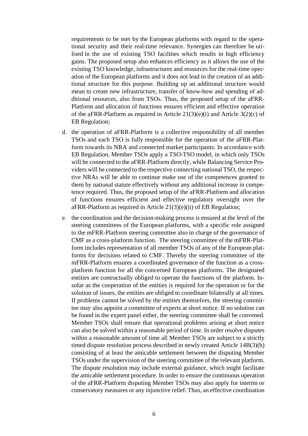requirements to be met by the European platforms with regard to the operational security and their real-time relevance. Synergies can therefore be utilised in the use of existing TSO facilities which results in high efficiency gains. The proposed setup also enhances efficiency as it allows the use of the existing TSO knowledge, infrastructures and resources for the real-time operation of the European platforms and it does not lead to the creation of an additional structure for this purpose. Building up an additional structure would mean to create new infrastructure, transfer of know-how and spending of additional resources, also from TSOs. Thus, the proposed setup of the aFRR-Platform and allocation of functions ensures efficient and effective operation of the aFRR-Platform as required in Article  $21(3)(e)(i)$  and Article  $3(2)(c)$  of EB Regulation;

- d. the operation of aFRR-Platform is a collective responsibility of all member TSOs and each TSO is fully responsible for the operation of the aFRR-Platform towards its NRA and connected market participants. In accordance with EB Regulation, Member TSOs apply a TSO-TSO model, in which only TSOs will be connected to the aFRR-Platform directly, while Balancing Service Providers will be connected to the respective connecting national TSO, the respective NRAs will be able to continue make use of the competences granted to them by national statute effectively without any additional increase in competence required. Thus, the proposed setup of the aFRR-Platform and allocation of functions ensures efficient and effective regulatory oversight over the aFRR-Platform as required in Article 21(3)(e)(ii) of EB Regulation;
- e. the coordination and the decision-making process is ensured at the level of the steering committees of the European platforms, with a specific role assigned to the mFRR-Platform steering committee also in charge of the governance of CMF as a cross-platform function. The steering committee of the mFRR-Platform includes representation of all member TSOs of any of the European platforms for decisions related to CMF. Thereby the steering committee of the mFRR-Platform ensures a coordinated governance of the function as a crossplatform function for all the concerned European platforms. The designated entities are contractually obliged to operate the functions of the platform. Insofar as the cooperation of the entities is required for the operation or for the solution of issues, the entities are obliged to coordinate bilaterally at all times. If problems cannot be solved by the entities themselves, the steering committee may also appoint a committee of experts at short notice. If no solution can be found in the expert panel either, the steering committee shall be convened. Member TSOs shall ensure that operational problems arising at short notice can also be solved within a reasonable period of time. In order resolve disputes within a reasonable amount of time all Member TSOs are subject to a strictly timed dispute resolution process described in newly created Article 14B(3)(b) consisting of at least the amicable settlement between the disputing Member TSOs under the supervision of the steering committee of the relevant platform. The dispute resolution may include external guidance, which might facilitate the amicable settlement procedure. In order to ensure the continuous operation of the aFRR-Platform disputing Member TSOs may also apply for interim or conservatory measures or any injunctive relief. Thus, an effective coordination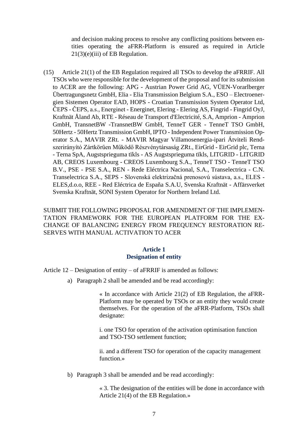and decision making process to resolve any conflicting positions between entities operating the aFRR-Platform is ensured as required in Article  $21(3)(e)$ (iii) of EB Regulation.

(15) Article 21(1) of the EB Regulation required all TSOs to develop the aFRRIF. All TSOs who were responsible for the development of the proposal and for its submission to ACER are the following: APG - Austrian Power Grid AG, VÜEN-Vorarlberger Übertragungsnetz GmbH, Elia - Elia Transmission Belgium S.A., ESO – Electroenergien Sistemen Operator EAD, HOPS - Croatian Transmission System Operator Ltd, ČEPS - ČEPS, a.s., Energinet - Energinet, Elering - Elering AS, Fingrid - Fingrid OyJ, Kraftnät Åland Ab, RTE - Réseau de Transport d'Electricité, S.A, Amprion - Amprion GmbH, TransnetBW -TransnetBW GmbH, TenneT GER - TenneT TSO GmbH, 50Hertz - 50Hertz Transmission GmbH, IPTO - Independent Power Transmission Operator S.A., MAVIR ZRt. - MAVIR Magyar Villamosenergia-ipari Átviteli Rendszerirányító Zártkörűen Működő Részvénytársaság ZRt., EirGrid - EirGrid plc, Terna - Terna SpA, Augstsprieguma tïkls - AS Augstsprieguma tïkls, LITGRID - LITGRID AB, CREOS Luxembourg - CREOS Luxembourg S.A., TenneT TSO - TenneT TSO B.V., PSE - PSE S.A., REN - Rede Eléctrica Nacional, S.A., Transelectrica - C.N. Transelectrica S.A., SEPS - Slovenská elektrizačná prenosovú sústava, a.s., ELES - ELES,d.o.o, REE - Red Eléctrica de España S.A.U, Svenska Kraftnät - Affärsverket Svenska Kraftnät, SONI System Operator for Northern Ireland Ltd.

SUBMIT THE FOLLOWING PROPOSAL FOR AMENDMENT OF THE IMPLEMEN-TATION FRAMEWORK FOR THE EUROPEAN PLATFORM FOR THE EX-CHANGE OF BALANCING ENERGY FROM FREQUENCY RESTORATION RE-SERVES WITH MANUAL ACTIVATION TO ACER

#### **Article 1 Designation of entity**

Article 12 – Designation of entity – of aFRRIF is amended as follows:

a) Paragraph 2 shall be amended and be read accordingly:

« In accordance with Article 21(2) of EB Regulation, the aFRR-Platform may be operated by TSOs or an entity they would create themselves. For the operation of the aFRR-Platform, TSOs shall designate:

i. one TSO for operation of the activation optimisation function and TSO-TSO settlement function;

ii. and a different TSO for operation of the capacity management function.»

b) Paragraph 3 shall be amended and be read accordingly:

« 3. The designation of the entities will be done in accordance with Article 21(4) of the EB Regulation.»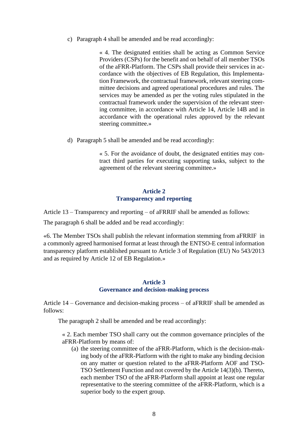c) Paragraph 4 shall be amended and be read accordingly:

« 4. The designated entities shall be acting as Common Service Providers (CSPs) for the benefit and on behalf of all member TSOs of the aFRR-Platform. The CSPs shall provide their services in accordance with the objectives of EB Regulation, this Implementation Framework, the contractual framework, relevant steering committee decisions and agreed operational procedures and rules. The services may be amended as per the voting rules stipulated in the contractual framework under the supervision of the relevant steering committee, in accordance with Article 14, Article 14B and in accordance with the operational rules approved by the relevant steering committee.»

d) Paragraph 5 shall be amended and be read accordingly:

« 5. For the avoidance of doubt, the designated entities may contract third parties for executing supporting tasks, subject to the agreement of the relevant steering committee.»

### **Article 2 Transparency and reporting**

Article 13 – Transparency and reporting – of aFRRIF shall be amended as follows:

The paragraph 6 shall be added and be read accordingly:

«6. The Member TSOs shall publish the relevant information stemming from aFRRIF in a commonly agreed harmonised format at least through the ENTSO-E central information transparency platform established pursuant to Article 3 of Regulation (EU) No 543/2013 and as required by Article 12 of EB Regulation.»

#### **Article 3 Governance and decision-making process**

Article 14 – Governance and decision-making process – of aFRRIF shall be amended as follows:

The paragraph 2 shall be amended and be read accordingly:

« 2. Each member TSO shall carry out the common governance principles of the aFRR-Platform by means of:

(a) the steering committee of the aFRR-Platform, which is the decision-making body of the aFRR-Platform with the right to make any binding decision on any matter or question related to the aFRR-Platform AOF and TSO-TSO Settlement Function and not covered by the Article 14(3)(b). Thereto, each member TSO of the aFRR-Platform shall appoint at least one regular representative to the steering committee of the aFRR-Platform, which is a superior body to the expert group.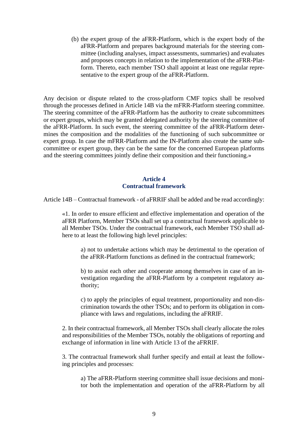(b) the expert group of the aFRR-Platform, which is the expert body of the aFRR-Platform and prepares background materials for the steering committee (including analyses, impact assessments, summaries) and evaluates and proposes concepts in relation to the implementation of the aFRR-Platform. Thereto, each member TSO shall appoint at least one regular representative to the expert group of the aFRR-Platform.

Any decision or dispute related to the cross-platform CMF topics shall be resolved through the processes defined in Article 14B via the mFRR-Platform steering committee. The steering committee of the aFRR-Platform has the authority to create subcommittees or expert groups, which may be granted delegated authority by the steering committee of the aFRR-Platform. In such event, the steering committee of the aFRR-Platform determines the composition and the modalities of the functioning of such subcommittee or expert group. In case the mFRR-Platform and the IN-Platform also create the same subcommittee or expert group, they can be the same for the concerned European platforms and the steering committees jointly define their composition and their functioning.»

## **Article 4 Contractual framework**

Article 14B – Contractual framework - of aFRRIF shall be added and be read accordingly:

«1. In order to ensure efficient and effective implementation and operation of the aFRR Platform, Member TSOs shall set up a contractual framework applicable to all Member TSOs. Under the contractual framework, each Member TSO shall adhere to at least the following high level principles:

a) not to undertake actions which may be detrimental to the operation of the aFRR-Platform functions as defined in the contractual framework;

b) to assist each other and cooperate among themselves in case of an investigation regarding the aFRR-Platform by a competent regulatory authority;

c) to apply the principles of equal treatment, proportionality and non-discrimination towards the other TSOs; and to perform its obligation in compliance with laws and regulations, including the aFRRIF.

2. In their contractual framework, all Member TSOs shall clearly allocate the roles and responsibilities of the Member TSOs, notably the obligations of reporting and exchange of information in line with Article 13 of the aFRRIF.

3. The contractual framework shall further specify and entail at least the following principles and processes:

a) The aFRR-Platform steering committee shall issue decisions and monitor both the implementation and operation of the aFRR-Platform by all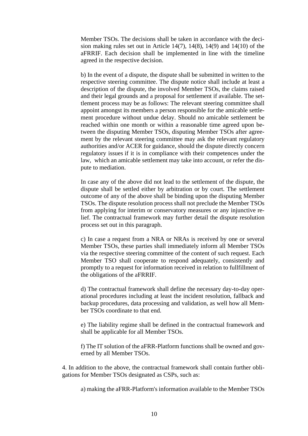Member TSOs. The decisions shall be taken in accordance with the decision making rules set out in Article 14(7), 14(8), 14(9) and 14(10) of the aFRRIF. Each decision shall be implemented in line with the timeline agreed in the respective decision.

b) In the event of a dispute, the dispute shall be submitted in written to the respective steering committee. The dispute notice shall include at least a description of the dispute, the involved Member TSOs, the claims raised and their legal grounds and a proposal for settlement if available. The settlement process may be as follows: The relevant steering committee shall appoint amongst its members a person responsible for the amicable settlement procedure without undue delay. Should no amicable settlement be reached within one month or within a reasonable time agreed upon between the disputing Member TSOs, disputing Member TSOs after agreement by the relevant steering committee may ask the relevant regulatory authorities and/or ACER for guidance, should the dispute directly concern regulatory issues if it is in compliance with their competences under the law, which an amicable settlement may take into account, or refer the dispute to mediation.

In case any of the above did not lead to the settlement of the dispute, the dispute shall be settled either by arbitration or by court. The settlement outcome of any of the above shall be binding upon the disputing Member TSOs. The dispute resolution process shall not preclude the Member TSOs from applying for interim or conservatory measures or any injunctive relief. The contractual framework may further detail the dispute resolution process set out in this paragraph.

c) In case a request from a NRA or NRAs is received by one or several Member TSOs, these parties shall immediately inform all Member TSOs via the respective steering committee of the content of such request. Each Member TSO shall cooperate to respond adequately, consistently and promptly to a request for information received in relation to fullfillment of the obligations of the aFRRIF.

d) The contractual framework shall define the necessary day-to-day operational procedures including at least the incident resolution, fallback and backup procedures, data processing and validation, as well how all Member TSOs coordinate to that end.

e) The liability regime shall be defined in the contractual framework and shall be applicable for all Member TSOs.

f) The IT solution of the aFRR-Platform functions shall be owned and governed by all Member TSOs.

4. In addition to the above, the contractual framework shall contain further obligations for Member TSOs designated as CSPs, such as:

a) making the aFRR-Platform's information available to the Member TSOs